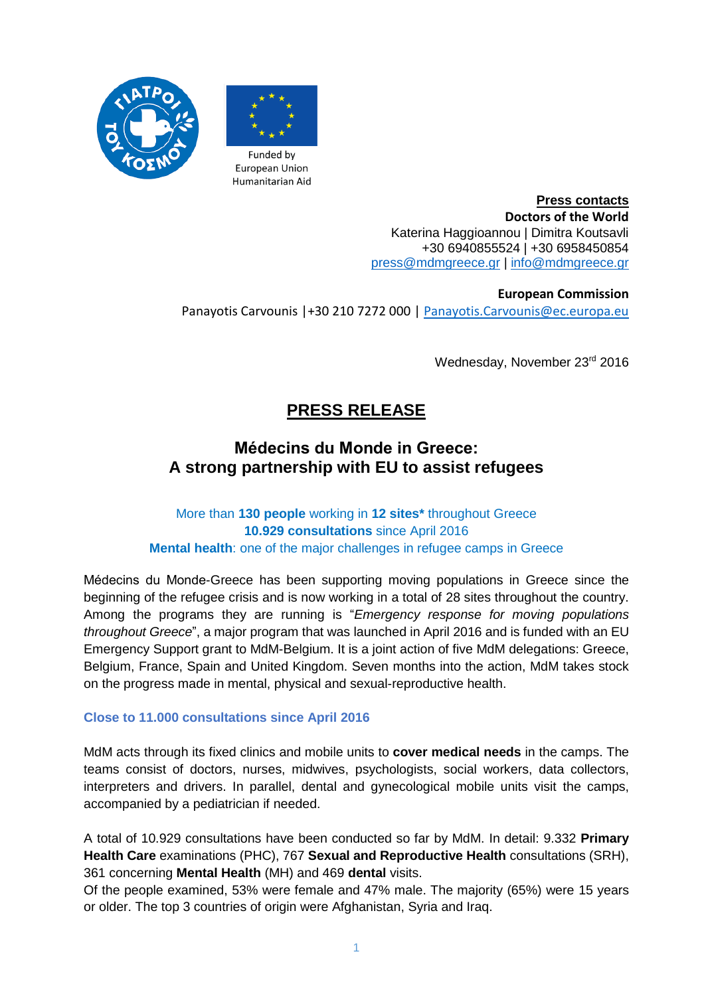



**Press contacts Doctors of the World** Katerina Haggioannou | Dimitra Koutsavli +30 6940855524 | +30 6958450854 [press@mdmgreece.gr](mailto:press@mdmgreece.gr) | [info@mdmgreece.gr](mailto:info@mdmgreece.gr)

**European Commission** Panayotis Carvounis |+30 210 7272 000 | [Panayotis.Carvounis@ec.europa.eu](mailto:Panayotis.Carvounis@ec.europa.eu)

Wednesday, November 23rd 2016

# **PRESS RELEASE**

# **Médecins du Monde in Greece: A strong partnership with EU to assist refugees**

## More than **130 people** working in **12 sites\*** throughout Greece **10.929 consultations** since April 2016 **Mental health**: one of the major challenges in refugee camps in Greece

Médecins du Monde-Greece has been supporting moving populations in Greece since the beginning of the refugee crisis and is now working in a total of 28 sites throughout the country. Among the programs they are running is "*Emergency response for moving populations throughout Greece*", a major program that was launched in April 2016 and is funded with an EU Emergency Support grant to MdM-Belgium. It is a joint action of five MdM delegations: Greece, Belgium, France, Spain and United Kingdom. Seven months into the action, MdM takes stock on the progress made in mental, physical and sexual-reproductive health.

## **Close to 11.000 consultations since April 2016**

MdM acts through its fixed clinics and mobile units to **cover medical needs** in the camps. The teams consist of doctors, nurses, midwives, psychologists, social workers, data collectors, interpreters and drivers. In parallel, dental and gynecological mobile units visit the camps, accompanied by a pediatrician if needed.

A total of 10.929 consultations have been conducted so far by MdM. In detail: 9.332 **Primary Health Care** examinations (PHC), 767 **Sexual and Reproductive Health** consultations (SRH), 361 concerning **Mental Health** (MH) and 469 **dental** visits.

Of the people examined, 53% were female and 47% male. The majority (65%) were 15 years or older. The top 3 countries of origin were Afghanistan, Syria and Iraq.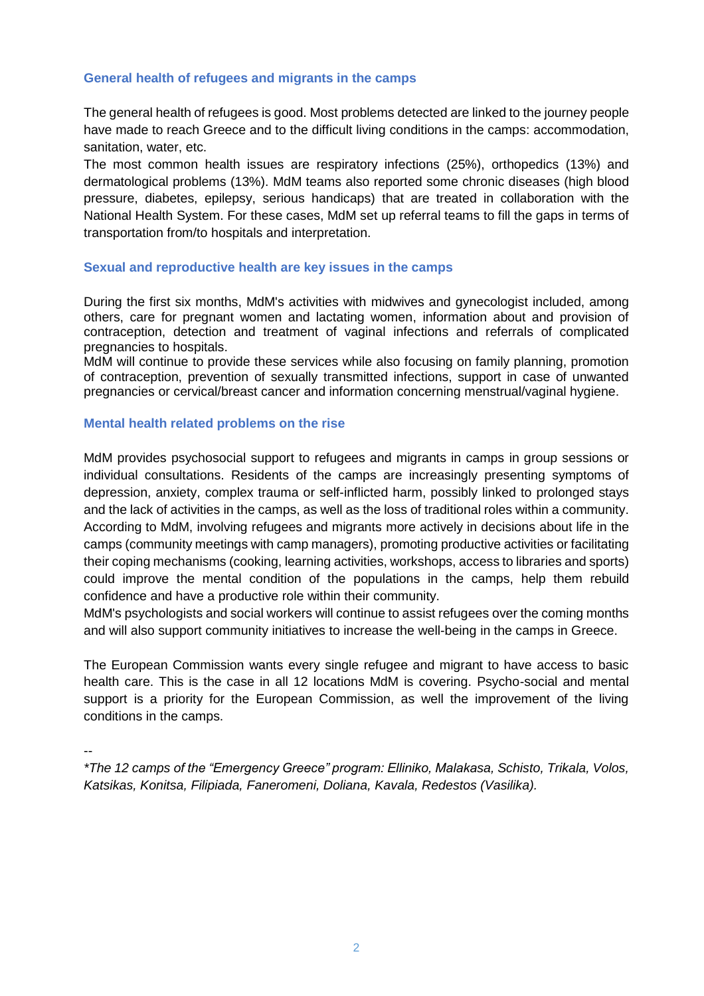## **General health of refugees and migrants in the camps**

The general health of refugees is good. Most problems detected are linked to the journey people have made to reach Greece and to the difficult living conditions in the camps: accommodation, sanitation, water, etc.

The most common health issues are respiratory infections (25%), orthopedics (13%) and dermatological problems (13%). MdM teams also reported some chronic diseases (high blood pressure, diabetes, epilepsy, serious handicaps) that are treated in collaboration with the National Health System. For these cases, MdM set up referral teams to fill the gaps in terms of transportation from/to hospitals and interpretation.

### **Sexual and reproductive health are key issues in the camps**

During the first six months, MdM's activities with midwives and gynecologist included, among others, care for pregnant women and lactating women, information about and provision of contraception, detection and treatment of vaginal infections and referrals of complicated pregnancies to hospitals.

MdM will continue to provide these services while also focusing on family planning, promotion of contraception, prevention of sexually transmitted infections, support in case of unwanted pregnancies or cervical/breast cancer and information concerning menstrual/vaginal hygiene.

### **Mental health related problems on the rise**

MdM provides psychosocial support to refugees and migrants in camps in group sessions or individual consultations. Residents of the camps are increasingly presenting symptoms of depression, anxiety, complex trauma or self-inflicted harm, possibly linked to prolonged stays and the lack of activities in the camps, as well as the loss of traditional roles within a community. According to MdM, involving refugees and migrants more actively in decisions about life in the camps (community meetings with camp managers), promoting productive activities or facilitating their coping mechanisms (cooking, learning activities, workshops, access to libraries and sports) could improve the mental condition of the populations in the camps, help them rebuild confidence and have a productive role within their community.

MdM's psychologists and social workers will continue to assist refugees over the coming months and will also support community initiatives to increase the well-being in the camps in Greece.

The European Commission wants every single refugee and migrant to have access to basic health care. This is the case in all 12 locations MdM is covering. Psycho-social and mental support is a priority for the European Commission, as well the improvement of the living conditions in the camps.

--

*\*The 12 camps of the "Emergency Greece" program: Elliniko, Malakasa, Schisto, Trikala, Volos, Katsikas, Konitsa, Filipiada, Faneromeni, Doliana, Kavala, Redestos (Vasilika).*